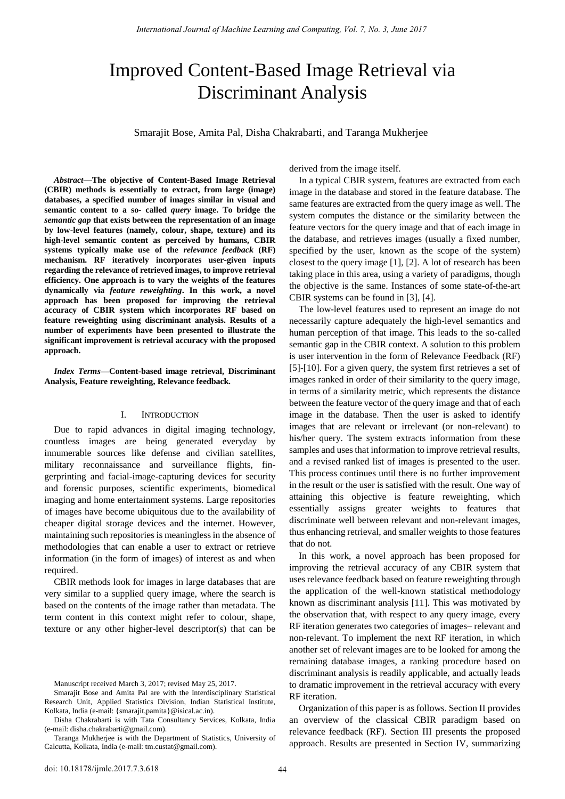# Improved Content-Based Image Retrieval via Discriminant Analysis

Smarajit Bose, Amita Pal, Disha Chakrabarti, and Taranga Mukherjee

*Abstract***—The objective of Content-Based Image Retrieval (CBIR) methods is essentially to extract, from large (image) databases, a specified number of images similar in visual and semantic content to a so- called** *query* **image. To bridge the**  *semantic gap* **that exists between the representation of an image by low-level features (namely, colour, shape, texture) and its high-level semantic content as perceived by humans, CBIR systems typically make use of the** *relevance feedback* **(RF) mechanism. RF iteratively incorporates user-given inputs regarding the relevance of retrieved images, to improve retrieval efficiency. One approach is to vary the weights of the features dynamically via** *feature reweighting***. In this work, a novel approach has been proposed for improving the retrieval accuracy of CBIR system which incorporates RF based on feature reweighting using discriminant analysis. Results of a number of experiments have been presented to illustrate the significant improvement is retrieval accuracy with the proposed approach.** 

*Index Terms***—Content-based image retrieval, Discriminant Analysis, Feature reweighting, Relevance feedback.** 

## I. INTRODUCTION

Due to rapid advances in digital imaging technology, countless images are being generated everyday by innumerable sources like defense and civilian satellites, military reconnaissance and surveillance flights, fingerprinting and facial-image-capturing devices for security and forensic purposes, scientific experiments, biomedical imaging and home entertainment systems. Large repositories of images have become ubiquitous due to the availability of cheaper digital storage devices and the internet. However, maintaining such repositories is meaningless in the absence of methodologies that can enable a user to extract or retrieve information (in the form of images) of interest as and when required.

CBIR methods look for images in large databases that are very similar to a supplied query image, where the search is based on the contents of the image rather than metadata. The term content in this context might refer to colour, shape, texture or any other higher-level descriptor(s) that can be derived from the image itself.

In a typical CBIR system, features are extracted from each image in the database and stored in the feature database. The same features are extracted from the query image as well. The system computes the distance or the similarity between the feature vectors for the query image and that of each image in the database, and retrieves images (usually a fixed number, specified by the user, known as the scope of the system) closest to the query image [1], [2]. A lot of research has been taking place in this area, using a variety of paradigms, though the objective is the same. Instances of some state-of-the-art CBIR systems can be found in [3], [4].

The low-level features used to represent an image do not necessarily capture adequately the high-level semantics and human perception of that image. This leads to the so-called semantic gap in the CBIR context. A solution to this problem is user intervention in the form of Relevance Feedback (RF) [5]-[10]. For a given query, the system first retrieves a set of images ranked in order of their similarity to the query image, in terms of a similarity metric, which represents the distance between the feature vector of the query image and that of each image in the database. Then the user is asked to identify images that are relevant or irrelevant (or non-relevant) to his/her query. The system extracts information from these samples and uses that information to improve retrieval results, and a revised ranked list of images is presented to the user. This process continues until there is no further improvement in the result or the user is satisfied with the result. One way of attaining this objective is feature reweighting, which essentially assigns greater weights to features that discriminate well between relevant and non-relevant images, thus enhancing retrieval, and smaller weights to those features that do not.

In this work, a novel approach has been proposed for improving the retrieval accuracy of any CBIR system that uses relevance feedback based on feature reweighting through the application of the well-known statistical methodology known as discriminant analysis [11]. This was motivated by the observation that, with respect to any query image, every RF iteration generates two categories of images– relevant and non-relevant. To implement the next RF iteration, in which another set of relevant images are to be looked for among the remaining database images, a ranking procedure based on discriminant analysis is readily applicable, and actually leads to dramatic improvement in the retrieval accuracy with every RF iteration.

Organization of this paper is as follows. Section II provides an overview of the classical CBIR paradigm based on relevance feedback (RF). Section III presents the proposed approach. Results are presented in Section IV, summarizing

Manuscript received March 3, 2017; revised May 25, 2017.

Smarajit Bose and Amita Pal are with the Interdisciplinary Statistical Research Unit, Applied Statistics Division, Indian Statistical Institute, Kolkata, India (e-mail: {smarajit,pamita}@isical.ac.in).

Disha Chakrabarti is with Tata Consultancy Services, Kolkata, India (e-mail: disha.chakrabarti@gmail.com).

Taranga Mukherjee is with the Department of Statistics, University of Calcutta, Kolkata, India (e-mail: tm.custat@gmail.com).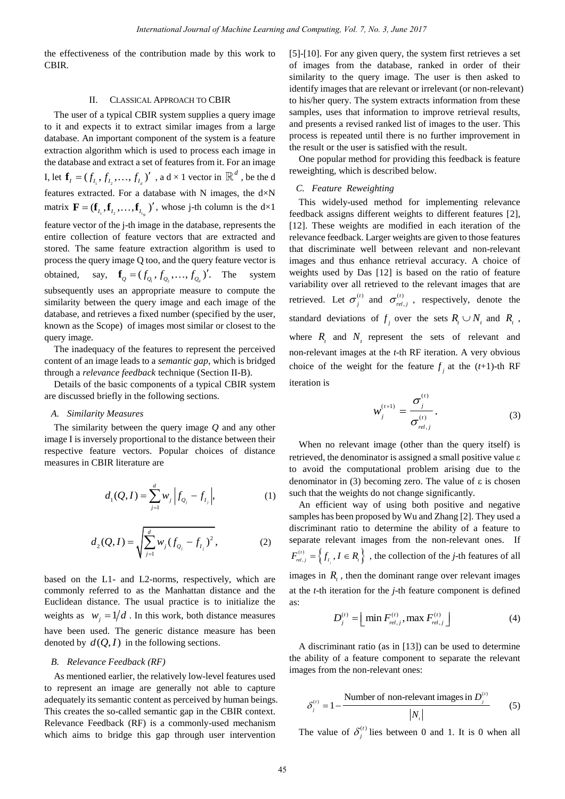the effectiveness of the contribution made by this work to CBIR.

## II. CLASSICAL APPROACH TO CBIR

The user of a typical CBIR system supplies a query image to it and expects it to extract similar images from a large database. An important component of the system is a feature extraction algorithm which is used to process each image in the database and extract a set of features from it. For an image I, let  $\mathbf{f}_I = (f_{I_1}, f_{I_2},..., f_{I_d})'$ , a d × 1 vector in  $\mathbb{R}^d$ , be the d features extracted. For a database with N images, the  $d \times N$ matrix  $\mathbf{F} = (\mathbf{f}_{I_1}, \mathbf{f}_{I_2}, \dots, \mathbf{f}_{I_{I_N}})'$ , whose j-th column is the d×1 feature vector of the j-th image in the database, represents the entire collection of feature vectors that are extracted and stored. The same feature extraction algorithm is used to process the query image Q too, and the query feature vector is obtained,  $\mathbf{f}_Q = (f_{Q_1}, f_{Q_2}, \dots, f_{Q_d})'$ . system subsequently uses an appropriate measure to compute the similarity between the query image and each image of the database, and retrieves a fixed number (specified by the user, known as the Scope) of images most similar or closest to the query image.

The inadequacy of the features to represent the perceived content of an image leads to a *semantic gap*, which is bridged through a *relevance feedback* technique (Section II-B).

Details of the basic components of a typical CBIR system are discussed briefly in the following sections.

#### *A. Similarity Measures*

The similarity between the query image *Q* and any other image I is inversely proportional to the distance between their respective feature vectors. Popular choices of distance measures in CBIR literature are

$$
d_1(Q, I) = \sum_{j=1}^{d} w_j \left| f_{Q_j} - f_{I_j} \right|, \tag{1}
$$

$$
d_2(Q, I) = \sqrt{\sum_{j=1}^{d} w_j (f_{Q_j} - f_{I_j})^2},
$$
 (2)

based on the L1- and L2-norms, respectively, which are commonly referred to as the Manhattan distance and the Euclidean distance. The usual practice is to initialize the weights as  $w_j = 1/d$ . In this work, both distance measures have been used. The generic distance measure has been denoted by  $d(Q, I)$  in the following sections.

## *B. Relevance Feedback (RF)*

As mentioned earlier, the relatively low-level features used to represent an image are generally not able to capture adequately its semantic content as perceived by human beings. This creates the so-called semantic gap in the CBIR context. Relevance Feedback (RF) is a commonly-used mechanism which aims to bridge this gap through user intervention

[5]-[10]. For any given query, the system first retrieves a set of images from the database, ranked in order of their similarity to the query image. The user is then asked to identify images that are relevant or irrelevant (or non-relevant) to his/her query. The system extracts information from these samples, uses that information to improve retrieval results, and presents a revised ranked list of images to the user. This process is repeated until there is no further improvement in the result or the user is satisfied with the result.

One popular method for providing this feedback is feature reweighting, which is described below.

#### *C. Feature Reweighting*

This widely-used method for implementing relevance feedback assigns different weights to different features [2], [12]. These weights are modified in each iteration of the relevance feedback. Larger weights are given to those features that discriminate well between relevant and non-relevant images and thus enhance retrieval accuracy. A choice of weights used by Das [12] is based on the ratio of feature variability over all retrieved to the relevant images that are retrieved. Let  $\sigma_i^{(t)}$  and  $\sigma_{rel}^{(t)}$ ,  $\sigma_{rel,j}^{(t)}$ , respectively, denote the standard deviations of  $f_j$  over the sets  $R_i \cup N_t$  and  $R_i$ , where  $R_t$  and  $N_t$  represent the sets of relevant and non-relevant images at the *t*-th RF iteration. A very obvious choice of the weight for the feature  $f_j$  at the (*t*+1)-th RF iteration is

$$
w_j^{(t+1)} = \frac{\sigma_j^{(t)}}{\sigma_{rel,j}^{(t)}}.
$$
 (3)

When no relevant image (other than the query itself) is retrieved, the denominator is assigned a small positive value to avoid the computational problem arising due to the denominator in (3) becoming zero. The value of  $\varepsilon$  is chosen such that the weights do not change significantly.

An efficient way of using both positive and negative samples has been proposed by Wu and Zhang [2]. They used a discriminant ratio to determine the ability of a feature to separate relevant images from the non-relevant ones. If  $\begin{cases} (t) \\ f_{I_j}, I \in R_j \end{cases}$ , the  $F_{rel,j}^{(t)} = \left\{ f_{I,j}, I \in R_i \right\}$ , the collection of the *j*-th features of all images in  $R<sub>t</sub>$ , then the dominant range over relevant images at the *t*-th iteration for the *j*-th feature component is defined as:

$$
D_j^{(t)} = \left[ \min F_{rel,j}^{(t)}, \max F_{rel,j}^{(t)} \right]
$$
 (4)

A discriminant ratio (as in [13]) can be used to determine the ability of a feature component to separate the relevant images from the non-relevant ones:

$$
\delta_j^{(i)} = 1 - \frac{\text{Number of non-relevant images in } D_j^{(i)}}{|N_i|}
$$
 (5)

The value of  $\delta_i^{(t)}$  $\delta_j^{(t)}$  lies between 0 and 1. It is 0 when all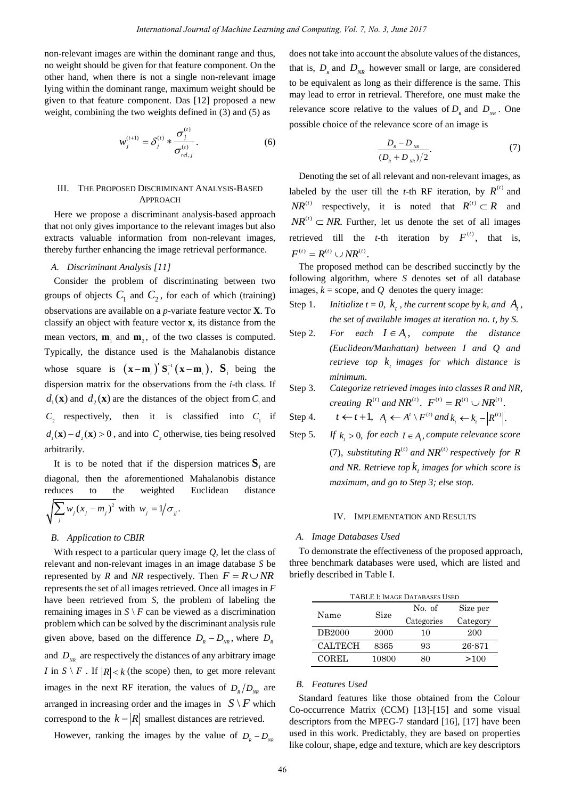non-relevant images are within the dominant range and thus, no weight should be given for that feature component. On the other hand, when there is not a single non-relevant image lying within the dominant range, maximum weight should be given to that feature component. Das [12] proposed a new weight, combining the two weights defined in (3) and (5) as

$$
w_j^{(t+1)} = \delta_j^{(t)} * \frac{\sigma_j^{(t)}}{\sigma_{rel,j}^{(t)}}.
$$
 (6)

# III. THE PROPOSED DISCRIMINANT ANALYSIS-BASED APPROACH

Here we propose a discriminant analysis-based approach that not only gives importance to the relevant images but also extracts valuable information from non-relevant images, thereby further enhancing the image retrieval performance.

# *A. Discriminant Analysis [11]*

Consider the problem of discriminating between two groups of objects  $C_1$  and  $C_2$ , for each of which (training) observations are available on a *p*-variate feature vector **X**. To classify an object with feature vector **x**, its distance from the mean vectors,  $\mathbf{m}_1$  and  $\mathbf{m}_2$ , of the two classes is computed. Typically, the distance used is the Mahalanobis distance whose square is  $(\mathbf{x}-\mathbf{m}_i)' \mathbf{S}_i^{-1} (\mathbf{x}-\mathbf{m}_i)$ ,  $\mathbf{S}_i$  being the dispersion matrix for the observations from the *i*-th class. If  $d_1(\mathbf{x})$  and  $d_2(\mathbf{x})$  are the distances of the object from  $C_1$  and  $C_2$  respectively, then it is classified into  $C_1$  if  $d_1(\mathbf{x}) - d_2(\mathbf{x}) > 0$ , and into  $C_2$  otherwise, ties being resolved arbitrarily.

It is to be noted that if the dispersion matrices  $S_i$  are diagonal, then the aforementioned Mahalanobis distance reduces to the weighted Euclidean distance  $\sum_j w_j (x_j - m_j)^2$  with  $w_j = 1/\sigma_j$ .

# *B. Application to CBIR*

With respect to a particular query image *Q*, let the class of relevant and non-relevant images in an image database *S* be represented by *R* and *NR* respectively. Then  $F = R \cup NR$ represents the set of all images retrieved. Once all images in *F* have been retrieved from *S*, the problem of labeling the remaining images in  $S \setminus F$  can be viewed as a discrimination problem which can be solved by the discriminant analysis rule given above, based on the difference  $D_R - D_{NR}$ , where  $D_R$ and  $D_{<sub>NR</sub>}$  are respectively the distances of any arbitrary image *I* in  $S \setminus F$ . If  $|R| < k$  (the scope) then, to get more relevant images in the next RF iteration, the values of  $D_R/D_{NR}$  are arranged in increasing order and the images in  $S \setminus F$  which correspond to the  $k - |R|$  smallest distances are retrieved.

However, ranking the images by the value of  $D_R - D_{NR}$ 

does not take into account the absolute values of the distances, that is,  $D_{R}$  and  $D_{NR}$  however small or large, are considered to be equivalent as long as their difference is the same. This may lead to error in retrieval. Therefore, one must make the relevance score relative to the values of  $D_R$  and  $D_{NR}$ . One possible choice of the relevance score of an image is

$$
\frac{D_{R} - D_{NR}}{(D_{R} + D_{NR})/2}.
$$
 (7)

Denoting the set of all relevant and non-relevant images, as labeled by the user till the *t*-th RF iteration, by  $R^{(t)}$  and  $NR^{(t)}$  respectively, it is noted that  $R^{(t)} \subset R$  and  $NR^{(t)} \subset NR$ . Further, let us denote the set of all images retrieved till the *t*-th iteration by  $F^{(t)}$ , that is,  $F^{(t)} = R^{(t)} \cup NR^{(t)}$ .

The proposed method can be described succinctly by the following algorithm, where *S* denotes set of all database images,  $k =$  scope, and  $Q$  denotes the query image:

- Step 1. *Initialize t* = 0,  $k_t$ , the current scope by k, and  $A_t$ , *the set of available images at iteration no. t, by S.*
- Step 2. For each  $I \in A$ , compute the distance *(Euclidean/Manhattan) between I and Q and retrieve top t k images for which distance is minimum.*
- Step 3. *Categorize retrieved images into classes R and NR, creating*  $R^{(t)}$  *and*  $NR^{(t)}$ .  $F^{(t)} = R^{(t)} \cup NR^{(t)}$ .

Step 4. 
$$
t \leftarrow t + 1
$$
,  $A_t \leftarrow A^t \setminus F^{(t)}$  and  $k_t \leftarrow k_t - |R^{(t)}|$ .

Step 5. *If*   $k_{i} > 0$ , for each  $I \in A_{i}$ , compute relevance score (7), substituting  $R^{(t)}$  and  $NR^{(t)}$  respectively for R *and NR. Retrieve top t k images for which score is maximum, and go to Step 3; else stop.* 

#### IV. IMPLEMENTATION AND RESULTS

#### *A. Image Databases Used*

To demonstrate the effectiveness of the proposed approach, three benchmark databases were used, which are listed and briefly described in Table I.

| <b>TABLE I: IMAGE DATABASES USED</b> |       |            |          |  |  |  |  |
|--------------------------------------|-------|------------|----------|--|--|--|--|
| Name                                 | Size  | No. of     | Size per |  |  |  |  |
|                                      |       | Categories | Category |  |  |  |  |
| DB2000                               | 2000  | 10         | 200      |  |  |  |  |
| CALTECH                              | 8365  | 93         | 26-871   |  |  |  |  |
| <b>COREL</b>                         | 10800 | 80         | >100     |  |  |  |  |

# *B. Features Used*

Standard features like those obtained from the Colour Co-occurrence Matrix (CCM) [13]-[15] and some visual descriptors from the MPEG-7 standard [16], [17] have been used in this work. Predictably, they are based on properties like colour, shape, edge and texture, which are key descriptors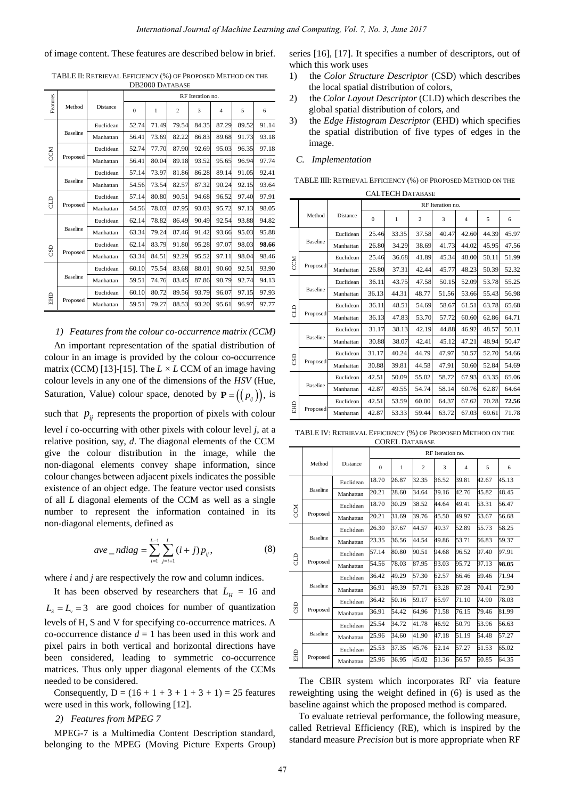of image content. These features are described below in brief.

|            | DDZUUU DATABASE |           |                  |       |                |       |       |       |       |
|------------|-----------------|-----------|------------------|-------|----------------|-------|-------|-------|-------|
|            |                 |           | RF Iteration no. |       |                |       |       |       |       |
| Features   | Method          | Distance  | $\mathbf{0}$     | 1     | $\overline{c}$ | 3     | 4     | 5     | 6     |
| CCM        | <b>Baseline</b> | Euclidean | 52.74            | 71.49 | 79.54          | 84.35 | 87.29 | 89.52 | 91.14 |
|            |                 | Manhattan | 56.41            | 73.69 | 82.22          | 86.83 | 89.68 | 91.73 | 93.18 |
|            | Proposed        | Euclidean | 52.74            | 77.70 | 87.90          | 92.69 | 95.03 | 96.35 | 97.18 |
|            |                 | Manhattan | 56.41            | 80.04 | 89.18          | 93.52 | 95.65 | 96.94 | 97.74 |
| G          | <b>Baseline</b> | Euclidean | 57.14            | 73.97 | 81.86          | 86.28 | 89.14 | 91.05 | 92.41 |
|            |                 | Manhattan | 54.56            | 73.54 | 82.57          | 87.32 | 90.24 | 92.15 | 93.64 |
|            | Proposed        | Euclidean | 57.14            | 80.80 | 90.51          | 94.68 | 96.52 | 97.40 | 97.91 |
|            |                 | Manhattan | 54.56            | 78.03 | 87.95          | 93.03 | 95.72 | 97.13 | 98.05 |
| GSD        | <b>Baseline</b> | Euclidean | 62.14            | 78.82 | 86.49          | 90.49 | 92.54 | 93.88 | 94.82 |
|            |                 | Manhattan | 63.34            | 79.24 | 87.46          | 91.42 | 93.66 | 95.03 | 95.88 |
|            | Proposed        | Euclidean | 62.14            | 83.79 | 91.80          | 95.28 | 97.07 | 98.03 | 98.66 |
|            |                 | Manhattan | 63.34            | 84.51 | 92.29          | 95.52 | 97.11 | 98.04 | 98.46 |
|            | <b>Baseline</b> | Euclidean | 60.10            | 75.54 | 83.68          | 88.01 | 90.60 | 92.51 | 93.90 |
|            |                 | Manhattan | 59.51            | 74.76 | 83.45          | 87.86 | 90.79 | 92.74 | 94.13 |
|            | Proposed        | Euclidean | 60.10            | 80.72 | 89.56          | 93.79 | 96.07 | 97.15 | 97.93 |
| <b>EHD</b> |                 | Manhattan | 59.51            | 79.27 | 88.53          | 93.20 | 95.61 | 96.97 | 97.77 |

TABLE II: RETRIEVAL EFFICIENCY (%) OF PROPOSED METHOD ON THE  $D2000 D100$ 

## *1) Features from the colour co-occurrence matrix (CCM)*

An important representation of the spatial distribution of colour in an image is provided by the colour co-occurrence matrix (CCM) [13]-[15]. The *L × L* CCM of an image having colour levels in any one of the dimensions of the *HSV* (Hue, Saturation, Value) colour space, denoted by  $P = ((p_{ij}))$ , is

such that  $p_{ij}$  represents the proportion of pixels with colour level *i* co-occurring with other pixels with colour level *j*, at a relative position, say, *d*. The diagonal elements of the CCM give the colour distribution in the image, while the non-diagonal elements convey shape information, since colour changes between adjacent pixels indicates the possible existence of an object edge. The feature vector used consists of all *L* diagonal elements of the CCM as well as a single number to represent the information contained in its non-diagonal elements, defined as

$$
ave\_ndiag = \sum_{i=1}^{L-1} \sum_{j=i+1}^{L} (i+j)p_{ij},
$$
 (8)

where *i* and *j* are respectively the row and column indices.

It has been observed by researchers that  $L<sub>H</sub> = 16$  and  $L_s = L_v = 3$  are good choices for number of quantization levels of H, S and V for specifying co-occurrence matrices. A co-occurrence distance  $d = 1$  has been used in this work and pixel pairs in both vertical and horizontal directions have been considered, leading to symmetric co-occurrence matrices. Thus only upper diagonal elements of the CCMs needed to be considered.

Consequently,  $D = (16 + 1 + 3 + 1 + 3 + 1) = 25$  features were used in this work, following [12].

## *2) Features from MPEG 7*

MPEG-7 is a Multimedia Content Description standard, belonging to the MPEG (Moving Picture Experts Group) series [16], [17]. It specifies a number of descriptors, out of which this work uses

- 1) the *Color Structure Descriptor* (CSD) which describes the local spatial distribution of colors,
- 2) the *Color Layout Descriptor* (CLD) which describes the global spatial distribution of colors, and
- 3) the *Edge Histogram Descriptor* (EHD) which specifies the spatial distribution of five types of edges in the image.

# *C. Implementation*

TABLE IIII: RETRIEVAL EFFICIENCY (%) OF PROPOSED METHOD ON THE

|          | <b>CALTECH DATABASE</b> |           |                  |       |                |       |                |       |       |
|----------|-------------------------|-----------|------------------|-------|----------------|-------|----------------|-------|-------|
|          |                         |           | RF Iteration no. |       |                |       |                |       |       |
|          | Method                  | Distance  | $\mathbf{0}$     | 1     | $\overline{c}$ | 3     | $\overline{4}$ | 5     | 6     |
|          | <b>Baseline</b>         | Euclidean | 25.46            | 33.35 | 37.58          | 40.47 | 42.60          | 44.39 | 45.97 |
|          |                         | Manhattan | 26.80            | 34.29 | 38.69          | 41.73 | 44.02          | 45.95 | 47.56 |
| <b>N</b> | Proposed                | Euclidean | 25.46            | 36.68 | 41.89          | 45.34 | 48.00          | 50.11 | 51.99 |
|          |                         | Manhattan | 26.80            | 37.31 | 42.44          | 45.77 | 48.23          | 50.39 | 52.32 |
|          | <b>Baseline</b>         | Euclidean | 36.11            | 43.75 | 47.58          | 50.15 | 52.09          | 53.78 | 55.25 |
| G        |                         | Manhattan | 36.13            | 44.31 | 48.77          | 51.56 | 53.66          | 55.43 | 56.98 |
|          | Proposed                | Euclidean | 36.11            | 48.51 | 54.69          | 58.67 | 61.51          | 63.78 | 65.68 |
|          |                         | Manhattan | 36.13            | 47.83 | 53.70          | 57.72 | 60.60          | 62.86 | 64.71 |
| CSD      | <b>Baseline</b>         | Euclidean | 31.17            | 38.13 | 42.19          | 44.88 | 46.92          | 48.57 | 50.11 |
|          |                         | Manhattan | 30.88            | 38.07 | 42.41          | 45.12 | 47.21          | 48.94 | 50.47 |
|          | Proposed                | Euclidean | 31.17            | 40.24 | 44.79          | 47.97 | 50.57          | 52.70 | 54.66 |
|          |                         | Manhattan | 30.88            | 39.81 | 44.58          | 47.91 | 50.60          | 52.84 | 54.69 |
|          | <b>Baseline</b>         | Euclidean | 42.51            | 50.09 | 55.02          | 58.72 | 67.93          | 63.35 | 65.06 |
|          |                         | Manhattan | 42.87            | 49.55 | 54.74          | 58.14 | 60.76          | 62.87 | 64.64 |
|          | Proposed                | Euclidean | 42.51            | 53.59 | 60.00          | 64.37 | 67.62          | 70.28 | 72.56 |
| EHD      |                         | Manhattan | 42.87            | 53.33 | 59.44          | 63.72 | 67.03          | 69.61 | 71.78 |

TABLE IV: RETRIEVAL EFFICIENCY (%) OF PROPOSED METHOD ON THE COREL DATABASE

|     |                 |           | RF Iteration no. |       |                |       |                |       |       |
|-----|-----------------|-----------|------------------|-------|----------------|-------|----------------|-------|-------|
|     | Method          | Distance  | $\Omega$         | 1     | $\overline{c}$ | 3     | $\overline{4}$ | 5     | 6     |
|     | <b>Baseline</b> | Euclidean | 18.70            | 26.87 | 32.35          | 36.52 | 39.81          | 42.67 | 45.13 |
|     |                 | Manhattan | 20.21            | 28.60 | 34.64          | 39.16 | 42.76          | 45.82 | 48.45 |
| CCM | Proposed        | Euclidean | 18.70            | 30.29 | 38.52          | 44.64 | 49.41          | 53.31 | 56.47 |
|     |                 | Manhattan | 20.21            | 31.69 | 39.76          | 45.50 | 49.97          | 53.67 | 56.68 |
|     | <b>Baseline</b> | Euclidean | 26.30            | 37.67 | 44.57          | 49.37 | 52.89          | 55.73 | 58.25 |
| £   |                 | Manhattan | 23.35            | 36.56 | 44.54          | 49.86 | 53.71          | 56.83 | 59.37 |
|     | Proposed        | Euclidean | 57.14            | 80.80 | 90.51          | 94.68 | 96.52          | 97.40 | 97.91 |
|     |                 | Manhattan | 54.56            | 78.03 | 87.95          | 93.03 | 95.72          | 97.13 | 98.05 |
|     | <b>Baseline</b> | Euclidean | 36.42            | 49.29 | 57.30          | 62.57 | 66.46          | 69.46 | 71.94 |
|     |                 | Manhattan | 36.91            | 49.39 | 57.71          | 63.28 | 67.28          | 70.41 | 72.90 |
| CSD | Proposed        | Euclidean | 36.42            | 50.16 | 59.17          | 65.97 | 71.10          | 74.90 | 78.03 |
|     |                 | Manhattan | 36.91            | 54.42 | 64.96          | 71.58 | 76.15          | 79.46 | 81.99 |
|     | <b>Baseline</b> | Euclidean | 25.54            | 34.72 | 41.78          | 46.92 | 50.79          | 53.96 | 56.63 |
|     |                 | Manhattan | 25.96            | 34.60 | 41.90          | 47.18 | 51.19          | 54.48 | 57.27 |
|     | Proposed        | Euclidean | 25.53            | 37.35 | 45.76          | 52.14 | 57.27          | 61.53 | 65.02 |
| 日田  |                 | Manhattan | 25.96            | 36.95 | 45.02          | 51.36 | 56.57          | 60.85 | 64.35 |

The CBIR system which incorporates RF via feature reweighting using the weight defined in (6) is used as the baseline against which the proposed method is compared.

To evaluate retrieval performance, the following measure, called Retrieval Efficiency (RE), which is inspired by the standard measure *Precision* but is more appropriate when RF